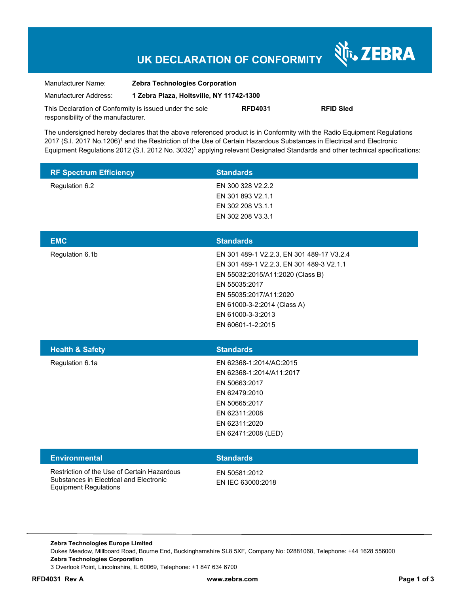# **UK DECLARATION OF CONFORMITY**

Nr. ZEBRA

| Manufacturer Name:                                      | <b>Zebra Technologies Corporation</b>    |                |                  |
|---------------------------------------------------------|------------------------------------------|----------------|------------------|
| Manufacturer Address:                                   | 1 Zebra Plaza, Holtsville, NY 11742-1300 |                |                  |
| This Declaration of Conformity is issued under the sole |                                          | <b>RFD4031</b> | <b>RFID Sled</b> |
| responsibility of the manufacturer.                     |                                          |                |                  |

The undersigned hereby declares that the above referenced product is in Conformity with the Radio Equipment Regulations 2017 (S.I. 2017 No.1206)<sup>1</sup> and the Restriction of the Use of Certain Hazardous Substances in Electrical and Electronic Equipment Regulations 2012 (S.I. 2012 No. 3032)<sup>1</sup> applying relevant Designated Standards and other technical specifications:

| <b>RF Spectrum Efficiency</b>                                                                                          | <b>Standards</b>                                                                                                                                                                                                                              |
|------------------------------------------------------------------------------------------------------------------------|-----------------------------------------------------------------------------------------------------------------------------------------------------------------------------------------------------------------------------------------------|
| Regulation 6.2                                                                                                         | EN 300 328 V2.2.2<br>EN 301 893 V2.1.1<br>EN 302 208 V3.1.1<br>EN 302 208 V3.3.1                                                                                                                                                              |
| <b>EMC</b>                                                                                                             | <b>Standards</b>                                                                                                                                                                                                                              |
| Regulation 6.1b                                                                                                        | EN 301 489-1 V2.2.3, EN 301 489-17 V3.2.4<br>EN 301 489-1 V2.2.3, EN 301 489-3 V2.1.1<br>EN 55032:2015/A11:2020 (Class B)<br>EN 55035:2017<br>EN 55035:2017/A11:2020<br>EN 61000-3-2:2014 (Class A)<br>EN 61000-3-3:2013<br>EN 60601-1-2:2015 |
| <b>Health &amp; Safety</b>                                                                                             | <b>Standards</b>                                                                                                                                                                                                                              |
| Regulation 6.1a                                                                                                        | EN 62368-1:2014/AC:2015<br>EN 62368-1:2014/A11:2017<br>EN 50663:2017<br>EN 62479:2010<br>EN 50665:2017<br>EN 62311:2008<br>EN 62311:2020<br>EN 62471:2008 (LED)                                                                               |
| <b>Environmental</b>                                                                                                   | <b>Standards</b>                                                                                                                                                                                                                              |
| Restriction of the Use of Certain Hazardous<br>Substances in Electrical and Electronic<br><b>Equipment Regulations</b> | EN 50581:2012<br>EN IEC 63000:2018                                                                                                                                                                                                            |

**Zebra Technologies Europe Limited**  Dukes Meadow, Millboard Road, Bourne End, Buckinghamshire SL8 5XF, Company No: 02881068, Telephone: +44 1628 556000 **Zebra Technologies Corporation**  3 Overlook Point, Lincolnshire, IL 60069, Telephone: +1 847 634 6700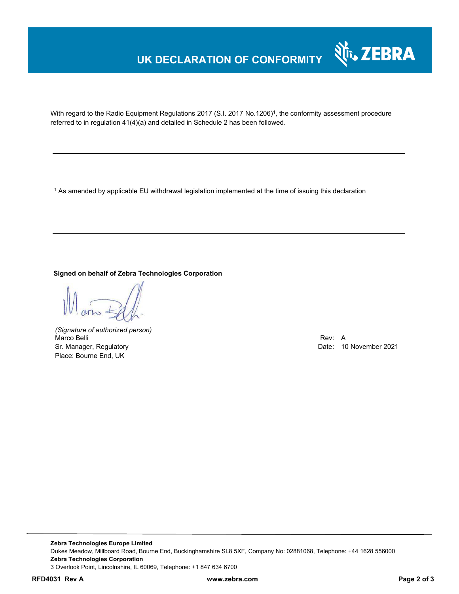## **UK DECLARATION OF CONFORMITY**



With regard to the Radio Equipment Regulations 2017 (S.I. 2017 No.1206)<sup>1</sup>, the conformity assessment procedure referred to in regulation 41(4)(a) and detailed in Schedule 2 has been followed.

 $^{\rm 1}$  As amended by applicable EU withdrawal legislation implemented at the time of issuing this declaration

**Signed on behalf of Zebra Technologies Corporation** 

*(Signature of authorized person)* Marco Belli Rev: A Sr. Manager, Regulatory Date: 10 November 2021 Place: Bourne End, UK